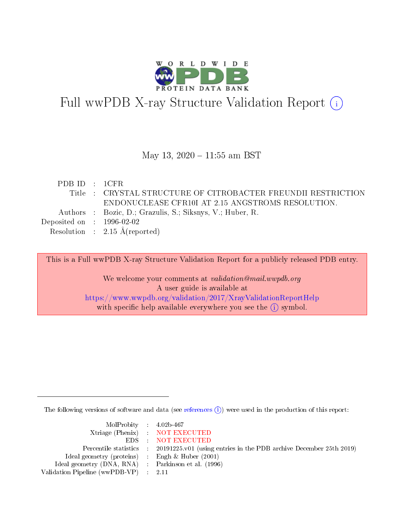

# Full wwPDB X-ray Structure Validation Report (i)

#### May 13, 2020 - 11:55 am BST

| PDBID : 1CFR                         |                                                               |
|--------------------------------------|---------------------------------------------------------------|
|                                      | Title : CRYSTAL STRUCTURE OF CITROBACTER FREUNDII RESTRICTION |
|                                      | ENDONUCLEASE CFR10I AT 2.15 ANGSTROMS RESOLUTION.             |
|                                      | Authors : Bozic, D.; Grazulis, S.; Siksnys, V.; Huber, R.     |
| Deposited on $\therefore$ 1996-02-02 |                                                               |
|                                      | Resolution : $2.15 \text{ Å}$ (reported)                      |
|                                      |                                                               |

This is a Full wwPDB X-ray Structure Validation Report for a publicly released PDB entry.

We welcome your comments at validation@mail.wwpdb.org A user guide is available at <https://www.wwpdb.org/validation/2017/XrayValidationReportHelp> with specific help available everywhere you see the  $(i)$  symbol.

The following versions of software and data (see [references](https://www.wwpdb.org/validation/2017/XrayValidationReportHelp#references)  $\overline{(1)}$ ) were used in the production of this report:

| $MolProbability$ 4.02b-467                          |                                                                    |
|-----------------------------------------------------|--------------------------------------------------------------------|
|                                                     | Xtriage (Phenix) NOT EXECUTED                                      |
|                                                     | EDS : NOT EXECUTED                                                 |
| Percentile statistics :                             | 20191225.v01 (using entries in the PDB archive December 25th 2019) |
| Ideal geometry (proteins) :                         | Engh $\&$ Huber (2001)                                             |
| Ideal geometry (DNA, RNA) : Parkinson et al. (1996) |                                                                    |
| Validation Pipeline (wwPDB-VP) : 2.11               |                                                                    |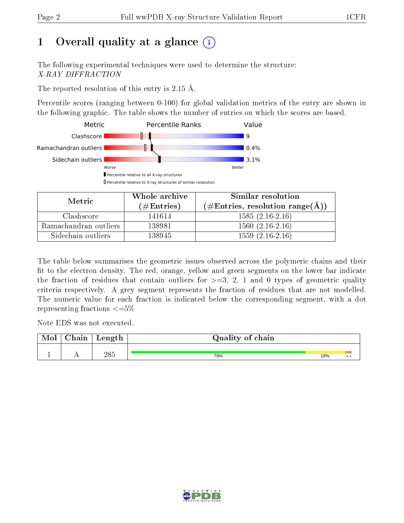## 1 [O](https://www.wwpdb.org/validation/2017/XrayValidationReportHelp#overall_quality)verall quality at a glance  $(i)$

The following experimental techniques were used to determine the structure: X-RAY DIFFRACTION

The reported resolution of this entry is 2.15 Å.

Percentile scores (ranging between 0-100) for global validation metrics of the entry are shown in the following graphic. The table shows the number of entries on which the scores are based.



| Metric                | Whole archive<br>(# $\rm{Entries}$ ) | Similar resolution<br>$(\#\text{Entries}, \text{resolution range}(\text{\AA}) )$ |  |  |
|-----------------------|--------------------------------------|----------------------------------------------------------------------------------|--|--|
| Clashscore            | 141614                               | $1585(2.16-2.16)$                                                                |  |  |
| Ramachandran outliers | 138981                               | $1560(2.16-2.16)$                                                                |  |  |
| Sidechain outliers    | 138945                               | $1559(2.16-2.16)$                                                                |  |  |

The table below summarises the geometric issues observed across the polymeric chains and their fit to the electron density. The red, orange, yellow and green segments on the lower bar indicate the fraction of residues that contain outliers for  $\geq=3$ , 2, 1 and 0 types of geometric quality criteria respectively. A grey segment represents the fraction of residues that are not modelled. The numeric value for each fraction is indicated below the corresponding segment, with a dot representing fractions  $\leq=5\%$ 

Note EDS was not executed.

| Mol | $\gamma$ hain | Length | Quality of chain |     |                 |
|-----|---------------|--------|------------------|-----|-----------------|
|     | . .           | 285    | 79%              | 18% | $\cdot$ $\cdot$ |

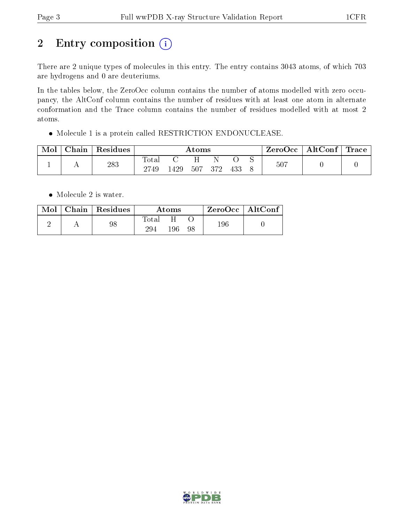## 2 Entry composition (i)

There are 2 unique types of molecules in this entry. The entry contains 3043 atoms, of which 703 are hydrogens and 0 are deuteriums.

In the tables below, the ZeroOcc column contains the number of atoms modelled with zero occupancy, the AltConf column contains the number of residues with at least one atom in alternate conformation and the Trace column contains the number of residues modelled with at most 2 atoms.

Molecule 1 is a protein called RESTRICTION ENDONUCLEASE.

| Mol | Chain | Residues | Atoms                  |     |     |     |     | ZeroOcc | $\mathbf{AltConf} \mid \mathbf{Trace} \mid$ |  |  |
|-----|-------|----------|------------------------|-----|-----|-----|-----|---------|---------------------------------------------|--|--|
|     |       | 283      | $_{\rm Total}$<br>2749 | 429 | 507 | 372 | 433 |         | 507                                         |  |  |

• Molecule 2 is water.

| Mol | $\vert$ Chain $\vert$ Residues | Atoms        |     | ZeroOcc   AltConf |         |  |
|-----|--------------------------------|--------------|-----|-------------------|---------|--|
|     | 98                             | Fotal<br>294 | 196 | 98                | $196\,$ |  |

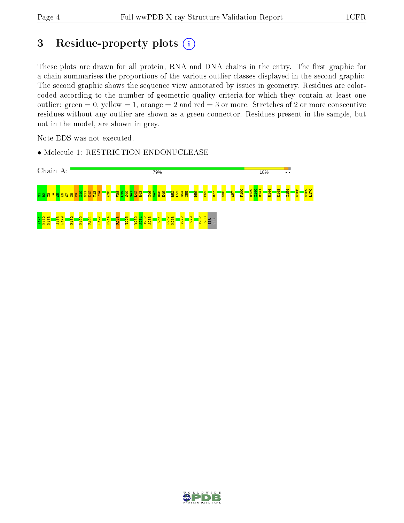## 3 Residue-property plots (i)

These plots are drawn for all protein, RNA and DNA chains in the entry. The first graphic for a chain summarises the proportions of the various outlier classes displayed in the second graphic. The second graphic shows the sequence view annotated by issues in geometry. Residues are colorcoded according to the number of geometric quality criteria for which they contain at least one outlier: green  $= 0$ , yellow  $= 1$ , orange  $= 2$  and red  $= 3$  or more. Stretches of 2 or more consecutive residues without any outlier are shown as a green connector. Residues present in the sample, but not in the model, are shown in grey.

Note EDS was not executed.

• Molecule 1: RESTRICTION ENDONUCLEASE



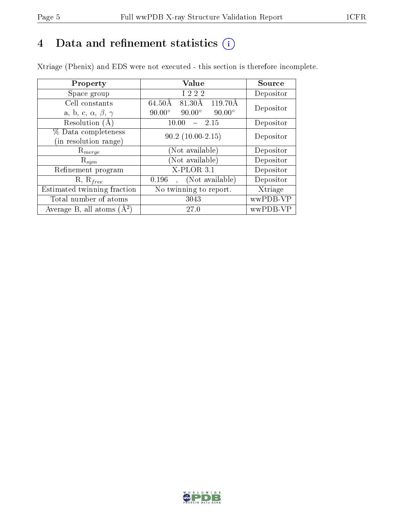## 4 Data and refinement statistics  $(i)$

Xtriage (Phenix) and EDS were not executed - this section is therefore incomplete.

| Property                               | Value                                           | Source    |  |
|----------------------------------------|-------------------------------------------------|-----------|--|
| Space group                            | I 2 2 2                                         | Depositor |  |
| Cell constants                         | $119.70\text{\AA}$<br>81.30Å<br>64.50Å          | Depositor |  |
| a, b, c, $\alpha$ , $\beta$ , $\gamma$ | $90.00^\circ$<br>$90.00^\circ$<br>$90.00^\circ$ |           |  |
| Resolution (A)                         | 2.15<br>10.00                                   | Depositor |  |
| % Data completeness                    | $90.2(10.00-2.15)$                              | Depositor |  |
| (in resolution range)                  |                                                 |           |  |
| $\mathrm{R}_{merge}$                   | (Not available)                                 | Depositor |  |
| $\mathrm{R}_{sym}$                     | (Not available)                                 | Depositor |  |
| Refinement program                     | $X-PLOR$ 3.1                                    | Depositor |  |
| $R, R_{free}$                          | (Not available)<br>0.196                        | Depositor |  |
| Estimated twinning fraction            | No twinning to report.                          | Xtriage   |  |
| Total number of atoms                  | 3043                                            | wwPDB-VP  |  |
| Average B, all atoms $(A^2)$           | 27.0                                            | wwPDB-VP  |  |

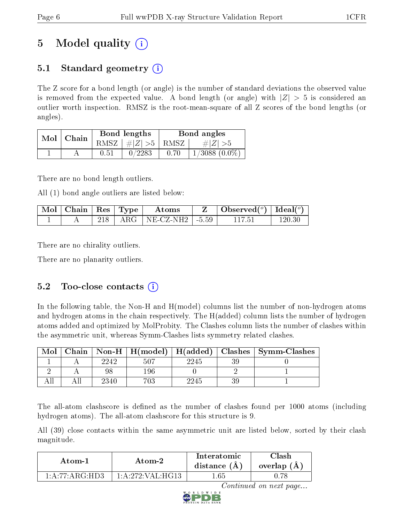## 5 Model quality  $(i)$

## 5.1 Standard geometry  $\overline{()}$

The Z score for a bond length (or angle) is the number of standard deviations the observed value is removed from the expected value. A bond length (or angle) with  $|Z| > 5$  is considered an outlier worth inspection. RMSZ is the root-mean-square of all Z scores of the bond lengths (or angles).

|  | $Mol$   Chain |          | Bond lengths                            | Bond angles |                    |  |
|--|---------------|----------|-----------------------------------------|-------------|--------------------|--|
|  |               |          | RMSZ $\mid \#  Z  > 5 \mid$ RMSZ $\mid$ |             | $\# Z  > 5$        |  |
|  |               | $0.51\,$ | 0/2283                                  | 0.70        | $1/3088$ $(0.0\%)$ |  |

There are no bond length outliers.

All (1) bond angle outliers are listed below:

| $\mid$ Mol $\mid$ Chain $\mid$ Res $\mid$ Type |  | Atoms                                       | Observed <sup>(<math>\circ</math>)</sup> [deal( $\circ$ ) |  |
|------------------------------------------------|--|---------------------------------------------|-----------------------------------------------------------|--|
|                                                |  | $\vert$ ARG $\vert$ NE-CZ-NH2 $\vert$ -5.59 |                                                           |  |

There are no chirality outliers.

There are no planarity outliers.

### 5.2 Too-close contacts  $(i)$

In the following table, the Non-H and H(model) columns list the number of non-hydrogen atoms and hydrogen atoms in the chain respectively. The H(added) column lists the number of hydrogen atoms added and optimized by MolProbity. The Clashes column lists the number of clashes within the asymmetric unit, whereas Symm-Clashes lists symmetry related clashes.

| Mol |      |         |      |    | Chain   Non-H   H(model)   H(added)   Clashes   Symm-Clashes |
|-----|------|---------|------|----|--------------------------------------------------------------|
|     | 2242 | 507     | 2245 |    |                                                              |
|     |      | 196     |      |    |                                                              |
|     | 2340 | $703\,$ | 2245 | ૧૦ |                                                              |

The all-atom clashscore is defined as the number of clashes found per 1000 atoms (including hydrogen atoms). The all-atom clashscore for this structure is 9.

All (39) close contacts within the same asymmetric unit are listed below, sorted by their clash magnitude.

| Atom-1                                                       | Atom-2              | Interatomic<br>distance $(A)$ | Clash<br>overlap $(A)$ |  |
|--------------------------------------------------------------|---------------------|-------------------------------|------------------------|--|
| $1 \cdot A \cdot 77 \cdot A \cdot G \cdot H \cdot D \cdot 3$ | 1: A: 272: VAL·HG13 | .65                           |                        |  |

Continued on next page...

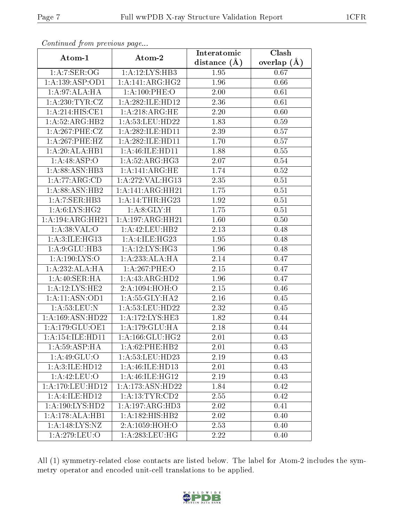| Comunaca jiom previous page   |                              | Interatomic       | Clash         |  |
|-------------------------------|------------------------------|-------------------|---------------|--|
| Atom-1                        | Atom-2                       | distance $(A)$    | overlap $(A)$ |  |
| 1: A:7: SER:OG                | 1:A:12:LYS:HB3               | 1.95              | 0.67          |  |
| 1:A:139:ASP:OD1               | 1:A:141:ARG:HG2              | 1.96              | 0.66          |  |
| 1:A:97:ALA:HA                 | 1: A:100:PHE:O               | 2.00              | 0.61          |  |
| $1: A:230:TYR: \overline{CZ}$ | 1:A:282:ILE:HD12             | 2.36              | 0.61          |  |
| 1:A:214:HIS:CE1               | 1:A:218:ARG:HE               | 2.20              | 0.60          |  |
| 1:A:52:ARG:HB2                | 1:A:53:LEU:HD22              | 1.83              | 0.59          |  |
| 1:A:267:PHE:CZ                | 1:A:282:ILE:HD11             | 2.39              | 0.57          |  |
| 1:A:267:PHE:HZ                | 1: A:282: ILE: HD11          | 1.70              | 0.57          |  |
| 1:A:20:ALA:HB1                | 1:A:46:ILE:HD11              | 1.88              | 0.55          |  |
| 1: A:48:ASP:O                 | 1: A:52: ARG:HG3             | 2.07              | 0.54          |  |
| 1:A:88:ASN:HB3                | 1:A:141:ARG:HE               | 1.74              | 0.52          |  |
| 1:A:77:ARG:CD                 | 1:A:272:VAL:HG13             | 2.35              | 0.51          |  |
| 1: A:88: ASN:HB2              | 1:A:141:ARG:HH21             | 1.75              | 0.51          |  |
| 1:A:7:SER:HB3                 | 1: A:14:THR:HG23             | 1.92              | 0.51          |  |
| 1: A:6: LYS: HG2              | 1: A:8: GLY:H                | 1.75              | 0.51          |  |
| 1:A:194:ARG:HH21              | 1:A:197:ARG:HH21             | 1.60              | 0.50          |  |
| 1: A:38: VAL:O                | 1:A:42:LEU:HB2               | 2.13              | 0.48          |  |
| 1:A:3:ILE:HG13                | 1:A:4:ILE:HG23               | 1.95              | 0.48          |  |
| 1: A:9: GLU:HB3               | 1:A:12:LYS:HG3               | 1.96              | 0.48          |  |
| 1: A: 190: LYS:O              | 1:A:233:ALA:HA               | 2.14              | 0.47          |  |
| 1:A:232:ALA:HA                | 1: A:267:PHE:O               | 2.15              | 0.47          |  |
| 1: A:40: SER: HA              | 1:A:43:ARG:HD2               | 1.96              | 0.47          |  |
| 1:A:12:LYS:HE2                | 2:A:1094:HOH:O               | 2.15              | 0.46          |  |
| 1:A:11:ASN:OD1                | 1: A: 55: GLY: HA2           | 2.16              | 0.45          |  |
| 1: A:53:LEU: N                | 1:A:53:LEU:HD22              | 2.32              | 0.45          |  |
| 1:A:169:ASN:HD22              | 1: A:172:LYS:HE3             | 1.82              | 0.44          |  |
| 1:A:179:GLU:OE1               | 1: A: 179: GLU: HA           | 2.18              | 0.44          |  |
| 1: A: 154: ILE: HD11          | 1: A: 166: GLU: HG2          | 2.01              | 0.43          |  |
| 1: A:59: ASP:HA               | 1:A:62:PHE:HB2               | 2.01              | 0.43          |  |
| 1:A:49:GLU:O                  | 1:A:53:LEU:HD23              | 2.19              | 0.43          |  |
| 1: A:3: ILE: HD12             | 1:A:46:ILE:HD13              | 2.01              | 0.43          |  |
| 1:A:42:LEU:O                  | 1:A:46:ILE:HG12              | 2.19              | 0.43          |  |
| $1: A:170:$ LEU:HD $12$       | 1:A:173:ASN:HD22             | 1.84              | 0.42          |  |
| 1:A:4:ILE:HD12                | 1: A: 13: TYR: CD2           | $2.\overline{55}$ | 0.42          |  |
| 1: A: 190: LYS: HD2           | 1:A:197:ARG:HD3              | 2.02              | 0.41          |  |
| 1:A:178:ALA:HB1               | $1:\overline{A:182:HIS:HB2}$ | 2.02              | 0.40          |  |
| 1: A:148: LYS: NZ             | 2:A:1059:HOH:O               | 2.53              | 0.40          |  |
| 1:A:279:LEU:O                 | 1: A:283:LEU:HG              | 2.22              | 0.40          |  |

Continued from previous page...

All (1) symmetry-related close contacts are listed below. The label for Atom-2 includes the symmetry operator and encoded unit-cell translations to be applied.

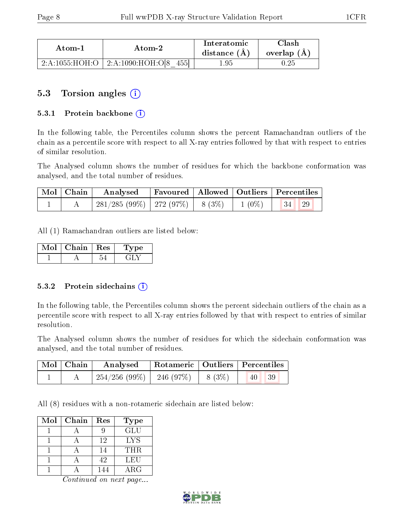| Atom-1         | Atom-2                    | Interatomic<br>distance $(A)$ | $\gamma$ lash<br>overlap $(A)$ |
|----------------|---------------------------|-------------------------------|--------------------------------|
| 2:A:1055:HOH:O | 455<br>2: A:1090:HOH:O[8] | .95                           | . 25                           |

### 5.3 Torsion angles (i)

#### 5.3.1 Protein backbone  $(i)$

In the following table, the Percentiles column shows the percent Ramachandran outliers of the chain as a percentile score with respect to all X-ray entries followed by that with respect to entries of similar resolution.

The Analysed column shows the number of residues for which the backbone conformation was analysed, and the total number of residues.

| $\mid$ Mol $\mid$ Chain $\mid$ | Analysed                                               |  | Favoured   Allowed   Outliers   Percentiles |
|--------------------------------|--------------------------------------------------------|--|---------------------------------------------|
|                                | $281/285 (99\%)$   272 (97\%)   8 (3\%)   1 (0\%)   34 |  | <sup>29</sup>                               |

All (1) Ramachandran outliers are listed below:

| Mol | Chain | $\parallel$ Res | рe |
|-----|-------|-----------------|----|
|     |       |                 |    |

#### 5.3.2 Protein sidechains (i)

In the following table, the Percentiles column shows the percent sidechain outliers of the chain as a percentile score with respect to all X-ray entries followed by that with respect to entries of similar resolution.

The Analysed column shows the number of residues for which the sidechain conformation was analysed, and the total number of residues.

| Mol   Chain |                                         |  | Analysed   Rotameric   Outliers   Percentiles |
|-------------|-----------------------------------------|--|-----------------------------------------------|
|             | $254/256$ (99\%)   246 (97\%)   8 (3\%) |  | 39 <br>40                                     |

All (8) residues with a non-rotameric sidechain are listed below:

| Mol | Chain | Res | <b>Type</b> |
|-----|-------|-----|-------------|
|     |       |     | <b>GLU</b>  |
|     |       | 12  | <b>LYS</b>  |
|     |       | 14  | THR.        |
|     |       | 42  | LEU         |
|     |       | 144 | ARG         |

Continued on next page...

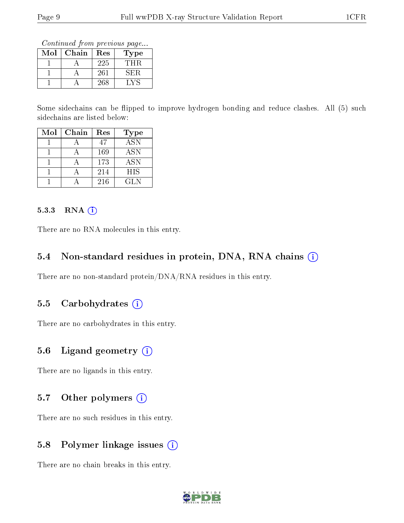Continued from previous page...

| Mol | Chain | Res | Type |
|-----|-------|-----|------|
|     |       | 225 | THR  |
|     |       | 261 | SER. |
|     |       | 268 |      |

Some sidechains can be flipped to improve hydrogen bonding and reduce clashes. All (5) such sidechains are listed below:

| Mol | ${\rm Chain}$ | Res | <b>Type</b> |
|-----|---------------|-----|-------------|
|     |               | 47  | <b>ASN</b>  |
|     |               | 169 | <b>ASN</b>  |
|     |               | 173 | <b>ASN</b>  |
|     |               | 214 | <b>HIS</b>  |
|     |               | 216 | GL N        |

#### 5.3.3 RNA (i)

There are no RNA molecules in this entry.

#### 5.4 Non-standard residues in protein, DNA, RNA chains  $(i)$

There are no non-standard protein/DNA/RNA residues in this entry.

#### 5.5 Carbohydrates  $(i)$

There are no carbohydrates in this entry.

#### 5.6 Ligand geometry (i)

There are no ligands in this entry.

#### 5.7 [O](https://www.wwpdb.org/validation/2017/XrayValidationReportHelp#nonstandard_residues_and_ligands)ther polymers (i)

There are no such residues in this entry.

#### 5.8 Polymer linkage issues (i)

There are no chain breaks in this entry.